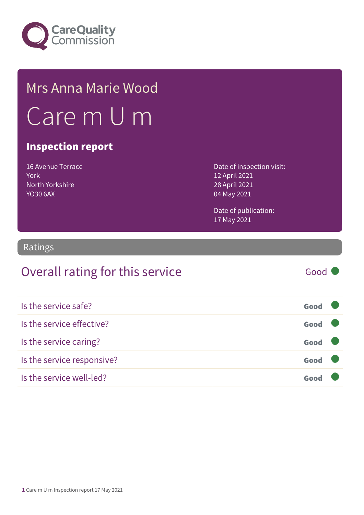

# Mrs Anna Marie Wood Care m U m

### Inspection report

16 Avenue Terrace York North Yorkshire YO30 6AX

Date of inspection visit: 12 April 2021 28 April 2021 04 May 2021

Date of publication: 17 May 2021

### Ratings

### Overall rating for this service Good

| Is the service safe?       | Good |  |
|----------------------------|------|--|
| Is the service effective?  | Good |  |
| Is the service caring?     | Good |  |
| Is the service responsive? | Good |  |
| Is the service well-led?   |      |  |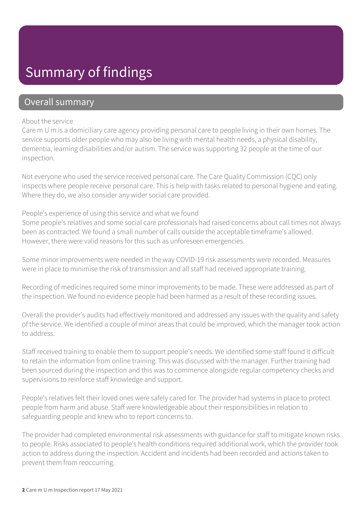### Summary of findings

### Overall summary

#### About the service

Care m U m is a domiciliary care agency providing personal care to people living in their own homes. The service supports older people who may also be living with mental health needs, a physical disability, dementia, learning disabilities and/or autism. The service was supporting 32 people at the time of our inspection.

Not everyone who used the service received personal care. The Care Quality Commission (CQC) only inspects where people receive personal care. This is help with tasks related to personal hygiene and eating. Where they do, we also consider any wider social care provided.

#### People's experience of using this service and what we found

Some people's relatives and some social care professionals had raised concerns about call times not always been as contracted. We found a small number of calls outside the acceptable timeframe's allowed. However, there were valid reasons for this such as unforeseen emergencies.

Some minor improvements were needed in the way COVID-19 risk assessments were recorded. Measures were in place to minimise the risk of transmission and all staff had received appropriate training.

Recording of medicines required some minor improvements to be made. These were addressed as part of the inspection. We found no evidence people had been harmed as a result of these recording issues.

Overall the provider's audits had effectively monitored and addressed any issues with the quality and safety of the service. We identified a couple of minor areas that could be improved, which the manager took action to address.

Staff received training to enable them to support people's needs. We identified some staff found it difficult to retain the information from online training. This was discussed with the manager. Further training had been sourced during the inspection and this was to commence alongside regular competency checks and supervisions to reinforce staff knowledge and support.

People's relatives felt their loved ones were safely cared for. The provider had systems in place to protect people from harm and abuse. Staff were knowledgeable about their responsibilities in relation to safeguarding people and knew who to report concerns to.

The provider had completed environmental risk assessments with guidance for staff to mitigate known risks to people. Risks associated to people's health conditions required additional work, which the provider took action to address during the inspection. Accident and incidents had been recorded and actions taken to prevent them from reoccurring.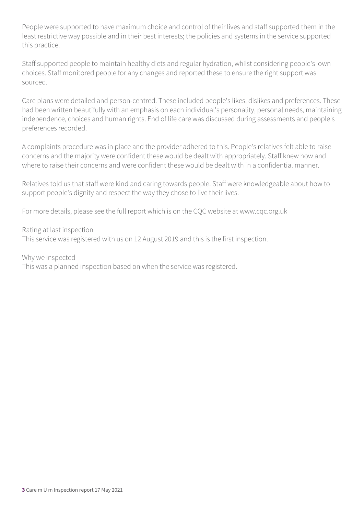People were supported to have maximum choice and control of their lives and staff supported them in the least restrictive way possible and in their best interests; the policies and systems in the service supported this practice.

Staff supported people to maintain healthy diets and regular hydration, whilst considering people's own choices. Staff monitored people for any changes and reported these to ensure the right support was sourced.

Care plans were detailed and person-centred. These included people's likes, dislikes and preferences. These had been written beautifully with an emphasis on each individual's personality, personal needs, maintaining independence, choices and human rights. End of life care was discussed during assessments and people's preferences recorded.

A complaints procedure was in place and the provider adhered to this. People's relatives felt able to raise concerns and the majority were confident these would be dealt with appropriately. Staff knew how and where to raise their concerns and were confident these would be dealt with in a confidential manner.

Relatives told us that staff were kind and caring towards people. Staff were knowledgeable about how to support people's dignity and respect the way they chose to live their lives.

For more details, please see the full report which is on the CQC website at www.cqc.org.uk

Rating at last inspection This service was registered with us on 12 August 2019 and this is the first inspection.

Why we inspected

This was a planned inspection based on when the service was registered.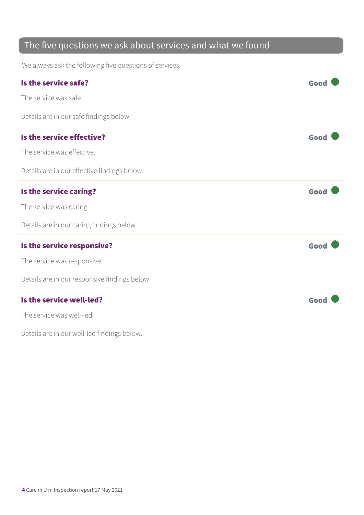### The five questions we ask about services and what we found

We always ask the following five questions of services.

| Is the service safe?                          | Good |
|-----------------------------------------------|------|
| The service was safe.                         |      |
| Details are in our safe findings below.       |      |
| Is the service effective?                     | Good |
| The service was effective.                    |      |
| Details are in our effective findings below.  |      |
| Is the service caring?                        | Good |
| The service was caring.                       |      |
| Details are in our caring findings below.     |      |
| Is the service responsive?                    | Good |
| The service was responsive.                   |      |
| Details are in our responsive findings below. |      |
| Is the service well-led?                      | Good |
| The service was well-led.                     |      |
| Details are in our well-led findings below.   |      |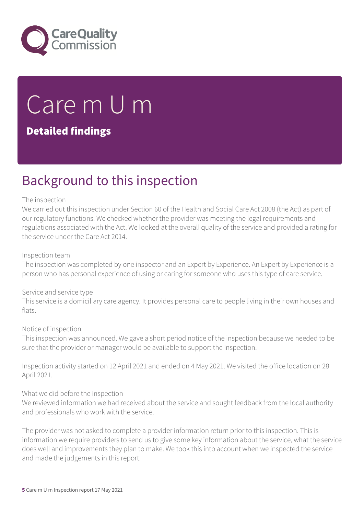

# Care m U m

### Detailed findings

### Background to this inspection

#### The inspection

We carried out this inspection under Section 60 of the Health and Social Care Act 2008 (the Act) as part of our regulatory functions. We checked whether the provider was meeting the legal requirements and regulations associated with the Act. We looked at the overall quality of the service and provided a rating for the service under the Care Act 2014.

#### Inspection team

The inspection was completed by one inspector and an Expert by Experience. An Expert by Experience is a person who has personal experience of using or caring for someone who uses this type of care service.

#### Service and service type

This service is a domiciliary care agency. It provides personal care to people living in their own houses and flats.

#### Notice of inspection

This inspection was announced. We gave a short period notice of the inspection because we needed to be sure that the provider or manager would be available to support the inspection.

Inspection activity started on 12 April 2021 and ended on 4 May 2021. We visited the office location on 28 April 2021.

#### What we did before the inspection

We reviewed information we had received about the service and sought feedback from the local authority and professionals who work with the service.

The provider was not asked to complete a provider information return prior to this inspection. This is information we require providers to send us to give some key information about the service, what the service does well and improvements they plan to make. We took this into account when we inspected the service and made the judgements in this report.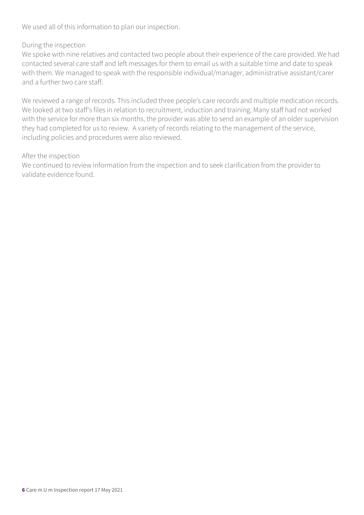We used all of this information to plan our inspection.

#### During the inspection

We spoke with nine relatives and contacted two people about their experience of the care provided. We had contacted several care staff and left messages for them to email us with a suitable time and date to speak with them. We managed to speak with the responsible individual/manager, administrative assistant/carer and a further two care staff.

We reviewed a range of records. This included three people's care records and multiple medication records. We looked at two staff's files in relation to recruitment, induction and training. Many staff had not worked with the service for more than six months, the provider was able to send an example of an older supervision they had completed for us to review. A variety of records relating to the management of the service, including policies and procedures were also reviewed.

#### After the inspection

We continued to review information from the inspection and to seek clarification from the provider to validate evidence found.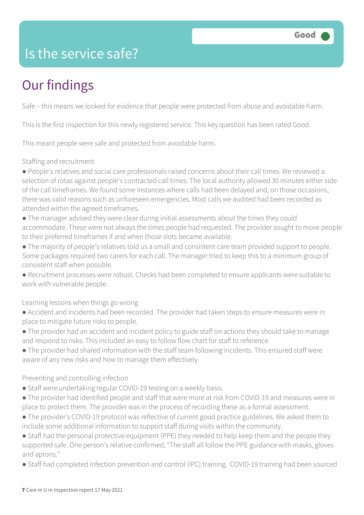### Is the service safe?

# Our findings

Safe – this means we looked for evidence that people were protected from abuse and avoidable harm.

This is the first inspection for this newly registered service. This key question has been rated Good.

This meant people were safe and protected from avoidable harm.

#### Staffing and recruitment

● People's relatives and social care professionals raised concerns about their call times. We reviewed a selection of rotas against people's contracted call times. The local authority allowed 30 minutes either side of the call timeframes. We found some instances where calls had been delayed and, on those occasions, there was valid reasons such as unforeseen emergencies. Most calls we audited had been recorded as attended within the agreed timeframes.

● The manager advised they were clear during initial assessments about the times they could accommodate. These were not always the times people had requested. The provider sought to move people to their preferred timeframes if and when those slots became available.

● The majority of people's relatives told us a small and consistent care team provided support to people. Some packages required two carers for each call. The manager tried to keep this to a minimum group of consistent staff when possible.

● Recruitment processes were robust. Checks had been completed to ensure applicants were suitable to work with vulnerable people.

Learning lessons when things go wrong

● Accident and incidents had been recorded. The provider had taken steps to ensure measures were in place to mitigate future risks to people.

● The provider had an accident and incident policy to guide staff on actions they should take to manage and respond to risks. This included an easy to follow flow chart for staff to reference.

● The provider had shared information with the staff team following incidents. This ensured staff were aware of any new risks and how to manage them effectively.

Preventing and controlling infection

- Staff were undertaking regular COVID-19 testing on a weekly basis.
- The provider had identified people and staff that were more at risk from COVID-19 and measures were in place to protect them. The provider was in the process of recording these as a formal assessment.

● The provider's COVID-19 protocol was reflective of current good practice guidelines. We asked them to include some additional information to support staff during visits within the community.

• Staff had the personal protective equipment (PPE) they needed to help keep them and the people they supported safe. One person's relative confirmed, "The staff all follow the PPE guidance with masks, gloves and aprons."

● Staff had completed infection prevention and control (IPC) training. COVID-19 training had been sourced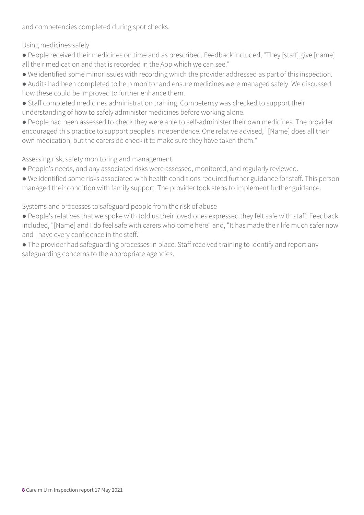and competencies completed during spot checks.

Using medicines safely

- People received their medicines on time and as prescribed. Feedback included, "They [staff] give [name] all their medication and that is recorded in the App which we can see."
- We identified some minor issues with recording which the provider addressed as part of this inspection.
- Audits had been completed to help monitor and ensure medicines were managed safely. We discussed how these could be improved to further enhance them.
- Staff completed medicines administration training. Competency was checked to support their understanding of how to safely administer medicines before working alone.
- People had been assessed to check they were able to self-administer their own medicines. The provider encouraged this practice to support people's independence. One relative advised, "[Name] does all their own medication, but the carers do check it to make sure they have taken them."

#### Assessing risk, safety monitoring and management

- People's needs, and any associated risks were assessed, monitored, and regularly reviewed.
- We identified some risks associated with health conditions required further guidance for staff. This person managed their condition with family support. The provider took steps to implement further guidance.

Systems and processes to safeguard people from the risk of abuse

- People's relatives that we spoke with told us their loved ones expressed they felt safe with staff. Feedback included, "[Name] and I do feel safe with carers who come here" and, "It has made their life much safer now and I have every confidence in the staff."
- The provider had safeguarding processes in place. Staff received training to identify and report any safeguarding concerns to the appropriate agencies.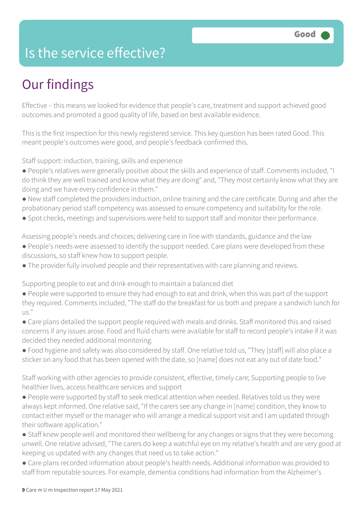### Is the service effective?

# Our findings

Effective – this means we looked for evidence that people's care, treatment and support achieved good outcomes and promoted a good quality of life, based on best available evidence.

This is the first inspection for this newly registered service. This key question has been rated Good. This meant people's outcomes were good, and people's feedback confirmed this.

Staff support: induction, training, skills and experience

- People's relatives were generally positive about the skills and experience of staff. Comments included, "I do think they are well trained and know what they are doing" and, "They most certainly know what they are doing and we have every confidence in them."
- New staff completed the providers induction, online training and the care certificate. During and after the probationary period staff competency was assessed to ensure competency and suitability for the role.
- Spot checks, meetings and supervisions were held to support staff and monitor their performance.

Assessing people's needs and choices; delivering care in line with standards, guidance and the law

- People's needs were assessed to identify the support needed. Care plans were developed from these discussions, so staff knew how to support people.
- The provider fully involved people and their representatives with care planning and reviews.

Supporting people to eat and drink enough to maintain a balanced diet

- People were supported to ensure they had enough to eat and drink, when this was part of the support they required. Comments included, "The staff do the breakfast for us both and prepare a sandwich lunch for  $115$ <sup>"</sup>
- Care plans detailed the support people required with meals and drinks. Staff monitored this and raised concerns if any issues arose. Food and fluid charts were available for staff to record people's intake if it was decided they needed additional monitoring.
- Food hygiene and safety was also considered by staff. One relative told us, "They [staff] will also place a sticker on any food that has been opened with the date, so [name] does not eat any out of date food."

Staff working with other agencies to provide consistent, effective, timely care; Supporting people to live healthier lives, access healthcare services and support

- People were supported by staff to seek medical attention when needed. Relatives told us they were always kept informed. One relative said, "If the carers see any change in [name] condition, they know to contact either myself or the manager who will arrange a medical support visit and I am updated through their software application."
- Staff knew people well and monitored their wellbeing for any changes or signs that they were becoming unwell. One relative advised, "The carers do keep a watchful eye on my relative's health and are very good at keeping us updated with any changes that need us to take action."
- Care plans recorded information about people's health needs. Additional information was provided to staff from reputable sources. For example, dementia conditions had information from the Alzheimer's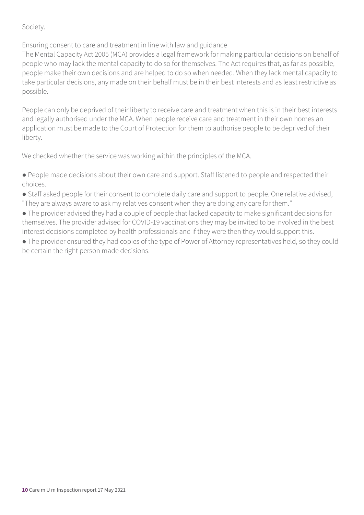#### Society.

Ensuring consent to care and treatment in line with law and guidance

The Mental Capacity Act 2005 (MCA) provides a legal framework for making particular decisions on behalf of people who may lack the mental capacity to do so for themselves. The Act requires that, as far as possible, people make their own decisions and are helped to do so when needed. When they lack mental capacity to take particular decisions, any made on their behalf must be in their best interests and as least restrictive as possible.

People can only be deprived of their liberty to receive care and treatment when this is in their best interests and legally authorised under the MCA. When people receive care and treatment in their own homes an application must be made to the Court of Protection for them to authorise people to be deprived of their liberty.

We checked whether the service was working within the principles of the MCA.

● People made decisions about their own care and support. Staff listened to people and respected their choices.

- Staff asked people for their consent to complete daily care and support to people. One relative advised, "They are always aware to ask my relatives consent when they are doing any care for them."
- The provider advised they had a couple of people that lacked capacity to make significant decisions for themselves. The provider advised for COVID-19 vaccinations they may be invited to be involved in the best interest decisions completed by health professionals and if they were then they would support this.
- The provider ensured they had copies of the type of Power of Attorney representatives held, so they could be certain the right person made decisions.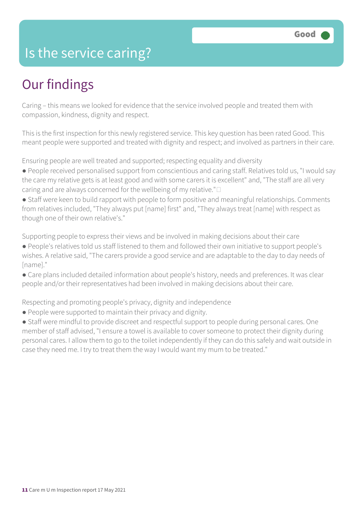### Is the service caring?

## Our findings

Caring – this means we looked for evidence that the service involved people and treated them with compassion, kindness, dignity and respect.

This is the first inspection for this newly registered service. This key question has been rated Good. This meant people were supported and treated with dignity and respect; and involved as partners in their care.

Ensuring people are well treated and supported; respecting equality and diversity

- People received personalised support from conscientious and caring staff. Relatives told us, "I would say the care my relative gets is at least good and with some carers it is excellent" and, "The staff are all very caring and are always concerned for the wellbeing of my relative." $\square$
- Staff were keen to build rapport with people to form positive and meaningful relationships. Comments from relatives included, "They always put [name] first" and, "They always treat [name] with respect as though one of their own relative's."

Supporting people to express their views and be involved in making decisions about their care

- People's relatives told us staff listened to them and followed their own initiative to support people's wishes. A relative said, "The carers provide a good service and are adaptable to the day to day needs of [name]."
- Care plans included detailed information about people's history, needs and preferences. It was clear people and/or their representatives had been involved in making decisions about their care.

Respecting and promoting people's privacy, dignity and independence

- People were supported to maintain their privacy and dignity.
- Staff were mindful to provide discreet and respectful support to people during personal cares. One member of staff advised, "I ensure a towel is available to cover someone to protect their dignity during personal cares. I allow them to go to the toilet independently if they can do this safely and wait outside in case they need me. I try to treat them the way I would want my mum to be treated."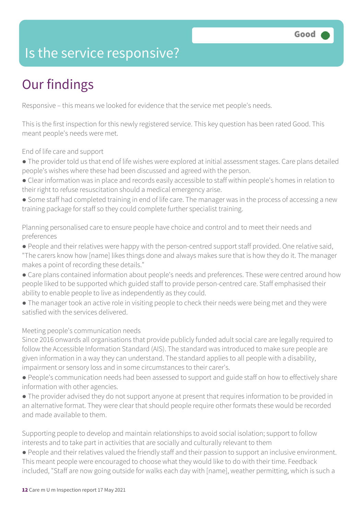### Is the service responsive?

# Our findings

Responsive – this means we looked for evidence that the service met people's needs.

This is the first inspection for this newly registered service. This key question has been rated Good. This meant people's needs were met.

End of life care and support

- The provider told us that end of life wishes were explored at initial assessment stages. Care plans detailed people's wishes where these had been discussed and agreed with the person.
- Clear information was in place and records easily accessible to staff within people's homes in relation to their right to refuse resuscitation should a medical emergency arise.
- Some staff had completed training in end of life care. The manager was in the process of accessing a new training package for staff so they could complete further specialist training.

Planning personalised care to ensure people have choice and control and to meet their needs and preferences

- People and their relatives were happy with the person-centred support staff provided. One relative said, "The carers know how [name] likes things done and always makes sure that is how they do it. The manager makes a point of recording these details."
- Care plans contained information about people's needs and preferences. These were centred around how people liked to be supported which guided staff to provide person-centred care. Staff emphasised their ability to enable people to live as independently as they could.
- The manager took an active role in visiting people to check their needs were being met and they were satisfied with the services delivered.

#### Meeting people's communication needs

Since 2016 onwards all organisations that provide publicly funded adult social care are legally required to follow the Accessible Information Standard (AIS). The standard was introduced to make sure people are given information in a way they can understand. The standard applies to all people with a disability, impairment or sensory loss and in some circumstances to their carer's.

- People's communication needs had been assessed to support and guide staff on how to effectively share information with other agencies.
- The provider advised they do not support anyone at present that requires information to be provided in an alternative format. They were clear that should people require other formats these would be recorded and made available to them.

Supporting people to develop and maintain relationships to avoid social isolation; support to follow interests and to take part in activities that are socially and culturally relevant to them

● People and their relatives valued the friendly staff and their passion to support an inclusive environment. This meant people were encouraged to choose what they would like to do with their time. Feedback included, "Staff are now going outside for walks each day with [name], weather permitting, which is such a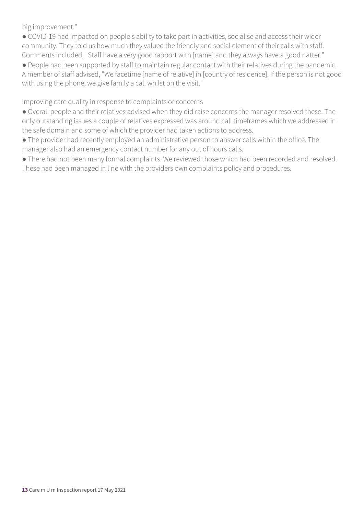big improvement."

● COVID-19 had impacted on people's ability to take part in activities, socialise and access their wider community. They told us how much they valued the friendly and social element of their calls with staff. Comments included, "Staff have a very good rapport with [name] and they always have a good natter."

● People had been supported by staff to maintain regular contact with their relatives during the pandemic. A member of staff advised, "We facetime [name of relative] in [country of residence]. If the person is not good with using the phone, we give family a call whilst on the visit."

Improving care quality in response to complaints or concerns

- Overall people and their relatives advised when they did raise concerns the manager resolved these. The only outstanding issues a couple of relatives expressed was around call timeframes which we addressed in the safe domain and some of which the provider had taken actions to address.
- The provider had recently employed an administrative person to answer calls within the office. The manager also had an emergency contact number for any out of hours calls.
- There had not been many formal complaints. We reviewed those which had been recorded and resolved. These had been managed in line with the providers own complaints policy and procedures.